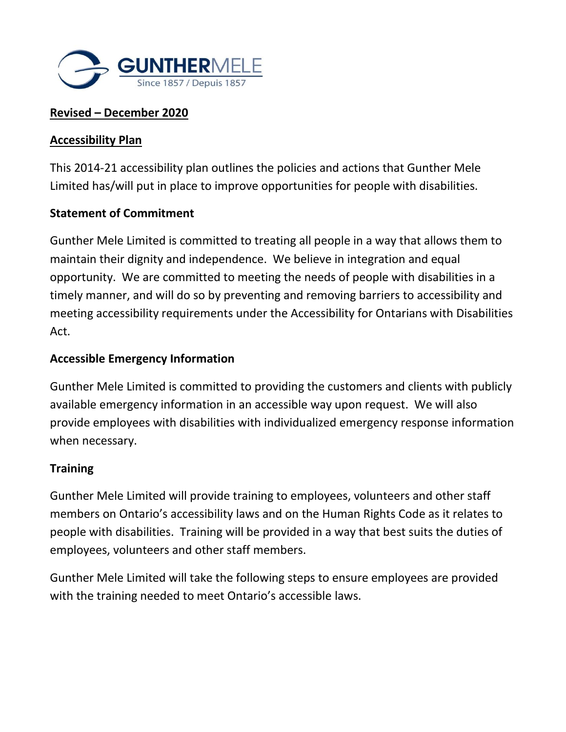

# **Revised – December 2020**

### **Accessibility Plan**

This 2014-21 accessibility plan outlines the policies and actions that Gunther Mele Limited has/will put in place to improve opportunities for people with disabilities.

### **Statement of Commitment**

Gunther Mele Limited is committed to treating all people in a way that allows them to maintain their dignity and independence. We believe in integration and equal opportunity. We are committed to meeting the needs of people with disabilities in a timely manner, and will do so by preventing and removing barriers to accessibility and meeting accessibility requirements under the Accessibility for Ontarians with Disabilities Act.

### **Accessible Emergency Information**

Gunther Mele Limited is committed to providing the customers and clients with publicly available emergency information in an accessible way upon request. We will also provide employees with disabilities with individualized emergency response information when necessary.

#### **Training**

Gunther Mele Limited will provide training to employees, volunteers and other staff members on Ontario's accessibility laws and on the Human Rights Code as it relates to people with disabilities. Training will be provided in a way that best suits the duties of employees, volunteers and other staff members.

Gunther Mele Limited will take the following steps to ensure employees are provided with the training needed to meet Ontario's accessible laws.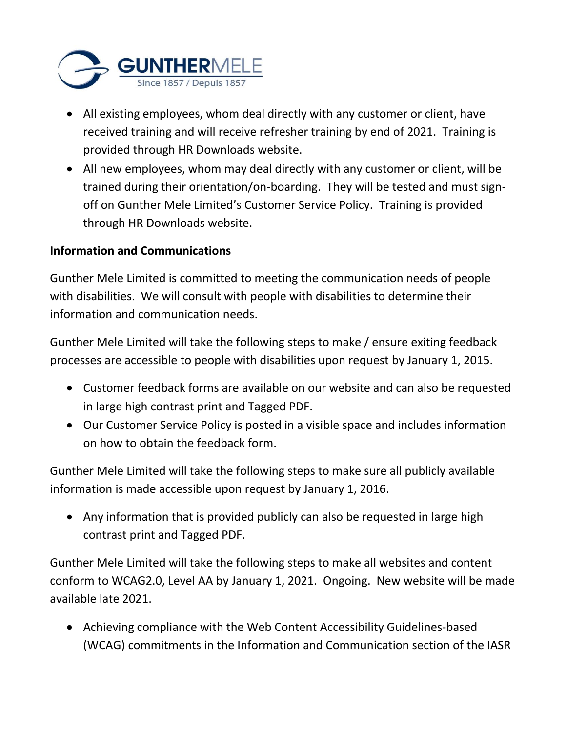

- All existing employees, whom deal directly with any customer or client, have received training and will receive refresher training by end of 2021. Training is provided through HR Downloads website.
- All new employees, whom may deal directly with any customer or client, will be trained during their orientation/on-boarding. They will be tested and must signoff on Gunther Mele Limited's Customer Service Policy. Training is provided through HR Downloads website.

# **Information and Communications**

Gunther Mele Limited is committed to meeting the communication needs of people with disabilities. We will consult with people with disabilities to determine their information and communication needs.

Gunther Mele Limited will take the following steps to make / ensure exiting feedback processes are accessible to people with disabilities upon request by January 1, 2015.

- Customer feedback forms are available on our website and can also be requested in large high contrast print and Tagged PDF.
- Our Customer Service Policy is posted in a visible space and includes information on how to obtain the feedback form.

Gunther Mele Limited will take the following steps to make sure all publicly available information is made accessible upon request by January 1, 2016.

• Any information that is provided publicly can also be requested in large high contrast print and Tagged PDF.

Gunther Mele Limited will take the following steps to make all websites and content conform to WCAG2.0, Level AA by January 1, 2021. Ongoing. New website will be made available late 2021.

• Achieving compliance with the Web Content Accessibility Guidelines-based (WCAG) commitments in the Information and Communication section of the IASR